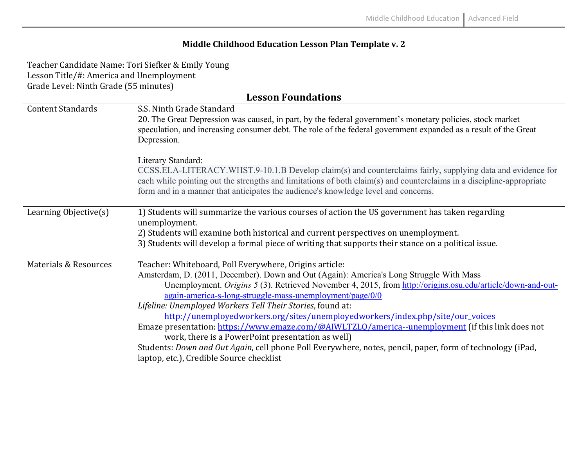## **Middle Childhood Education Lesson Plan Template v. 2**

Teacher Candidate Name: Tori Siefker & Emily Young Lesson Title/#: America and Unemployment Grade Level: Ninth Grade (55 minutes)

**Lesson Foundations**

| <b>Content Standards</b> | S.S. Ninth Grade Standard<br>20. The Great Depression was caused, in part, by the federal government's monetary policies, stock market<br>speculation, and increasing consumer debt. The role of the federal government expanded as a result of the Great<br>Depression.                                                                                                                                                                                                                                                                                                                                                                                                                                                                                                                      |
|--------------------------|-----------------------------------------------------------------------------------------------------------------------------------------------------------------------------------------------------------------------------------------------------------------------------------------------------------------------------------------------------------------------------------------------------------------------------------------------------------------------------------------------------------------------------------------------------------------------------------------------------------------------------------------------------------------------------------------------------------------------------------------------------------------------------------------------|
|                          | Literary Standard:<br>CCSS.ELA-LITERACY.WHST.9-10.1.B Develop claim(s) and counterclaims fairly, supplying data and evidence for<br>each while pointing out the strengths and limitations of both claim(s) and counterclaims in a discipline-appropriate<br>form and in a manner that anticipates the audience's knowledge level and concerns.                                                                                                                                                                                                                                                                                                                                                                                                                                                |
| Learning Objective(s)    | 1) Students will summarize the various courses of action the US government has taken regarding<br>unemployment.<br>2) Students will examine both historical and current perspectives on unemployment.<br>3) Students will develop a formal piece of writing that supports their stance on a political issue.                                                                                                                                                                                                                                                                                                                                                                                                                                                                                  |
| Materials & Resources    | Teacher: Whiteboard, Poll Everywhere, Origins article:<br>Amsterdam, D. (2011, December). Down and Out (Again): America's Long Struggle With Mass<br>Unemployment. Origins 5 (3). Retrieved November 4, 2015, from http://origins.osu.edu/article/down-and-out-<br>again-america-s-long-struggle-mass-unemployment/page/0/0<br>Lifeline: Unemployed Workers Tell Their Stories, found at:<br>http://unemployedworkers.org/sites/unemployedworkers/index.php/site/our_voices<br>Emaze presentation: https://www.emaze.com/@AIWLTZLQ/america--unemployment (if this link does not<br>work, there is a PowerPoint presentation as well)<br>Students: Down and Out Again, cell phone Poll Everywhere, notes, pencil, paper, form of technology (iPad,<br>laptop, etc.), Credible Source checklist |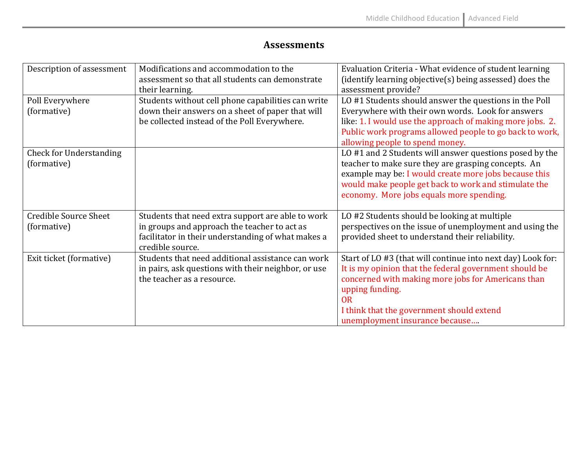## **Assessments**

| Description of assessment      | Modifications and accommodation to the<br>assessment so that all students can demonstrate<br>their learning. | Evaluation Criteria - What evidence of student learning<br>(identify learning objective $(s)$ being assessed) does the<br>assessment provide? |
|--------------------------------|--------------------------------------------------------------------------------------------------------------|-----------------------------------------------------------------------------------------------------------------------------------------------|
| Poll Everywhere                | Students without cell phone capabilities can write                                                           | LO #1 Students should answer the questions in the Poll                                                                                        |
| (formative)                    | down their answers on a sheet of paper that will                                                             | Everywhere with their own words. Look for answers                                                                                             |
|                                | be collected instead of the Poll Everywhere.                                                                 | like: 1. I would use the approach of making more jobs. 2.                                                                                     |
|                                |                                                                                                              | Public work programs allowed people to go back to work,                                                                                       |
|                                |                                                                                                              | allowing people to spend money.                                                                                                               |
| <b>Check for Understanding</b> |                                                                                                              | LO #1 and 2 Students will answer questions posed by the                                                                                       |
| (formative)                    |                                                                                                              | teacher to make sure they are grasping concepts. An                                                                                           |
|                                |                                                                                                              | example may be: I would create more jobs because this                                                                                         |
|                                |                                                                                                              | would make people get back to work and stimulate the                                                                                          |
|                                |                                                                                                              | economy. More jobs equals more spending.                                                                                                      |
|                                |                                                                                                              |                                                                                                                                               |
| <b>Credible Source Sheet</b>   | Students that need extra support are able to work                                                            | LO #2 Students should be looking at multiple                                                                                                  |
| (formative)                    | in groups and approach the teacher to act as                                                                 | perspectives on the issue of unemployment and using the                                                                                       |
|                                | facilitator in their understanding of what makes a                                                           | provided sheet to understand their reliability.                                                                                               |
|                                | credible source.                                                                                             |                                                                                                                                               |
| Exit ticket (formative)        | Students that need additional assistance can work                                                            | Start of LO #3 (that will continue into next day) Look for:                                                                                   |
|                                | in pairs, ask questions with their neighbor, or use                                                          | It is my opinion that the federal government should be                                                                                        |
|                                | the teacher as a resource.                                                                                   | concerned with making more jobs for Americans than                                                                                            |
|                                |                                                                                                              | upping funding.                                                                                                                               |
|                                |                                                                                                              | <b>OR</b>                                                                                                                                     |
|                                |                                                                                                              | I think that the government should extend                                                                                                     |
|                                |                                                                                                              | unemployment insurance because                                                                                                                |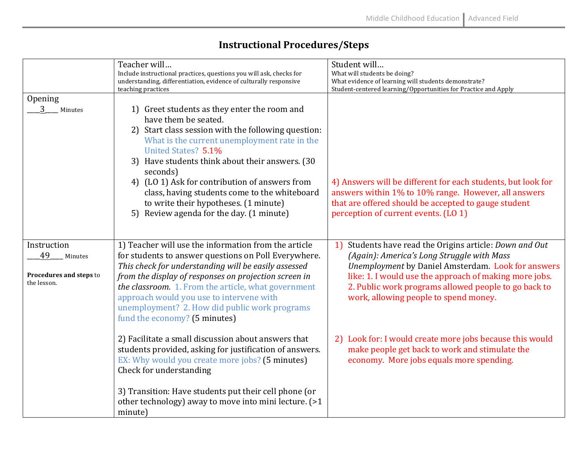|                                                                        | Teacher will<br>Include instructional practices, questions you will ask, checks for                                                                                                                                                                                                                                                                                                                                                                             | Student will<br>What will students be doing?                                                                                                                                                                                                                                                                              |
|------------------------------------------------------------------------|-----------------------------------------------------------------------------------------------------------------------------------------------------------------------------------------------------------------------------------------------------------------------------------------------------------------------------------------------------------------------------------------------------------------------------------------------------------------|---------------------------------------------------------------------------------------------------------------------------------------------------------------------------------------------------------------------------------------------------------------------------------------------------------------------------|
|                                                                        | understanding, differentiation, evidence of culturally responsive<br>teaching practices                                                                                                                                                                                                                                                                                                                                                                         | What evidence of learning will students demonstrate?<br>Student-centered learning/Opportunities for Practice and Apply                                                                                                                                                                                                    |
| Opening                                                                |                                                                                                                                                                                                                                                                                                                                                                                                                                                                 |                                                                                                                                                                                                                                                                                                                           |
| Minutes                                                                | 1) Greet students as they enter the room and<br>have them be seated.<br>Start class session with the following question:<br>2)<br>What is the current unemployment rate in the<br>United States? 5.1%<br>Have students think about their answers. (30<br>3)<br>seconds)<br>4) (LO 1) Ask for contribution of answers from<br>class, having students come to the whiteboard<br>to write their hypotheses. (1 minute)<br>5) Review agenda for the day. (1 minute) | 4) Answers will be different for each students, but look for<br>answers within 1% to 10% range. However, all answers<br>that are offered should be accepted to gauge student<br>perception of current events. (LO 1)                                                                                                      |
| Instruction<br>49<br>Minutes<br>Procedures and steps to<br>the lesson. | 1) Teacher will use the information from the article<br>for students to answer questions on Poll Everywhere.<br>This check for understanding will be easily assessed<br>from the display of responses on projection screen in<br>the classroom. 1. From the article, what government<br>approach would you use to intervene with<br>unemployment? 2. How did public work programs<br>fund the economy? (5 minutes)                                              | Students have read the Origins article: Down and Out<br>1)<br>(Again): America's Long Struggle with Mass<br>Unemployment by Daniel Amsterdam. Look for answers<br>like: 1. I would use the approach of making more jobs.<br>2. Public work programs allowed people to go back to<br>work, allowing people to spend money. |
|                                                                        | 2) Facilitate a small discussion about answers that<br>students provided, asking for justification of answers.<br>EX: Why would you create more jobs? (5 minutes)<br>Check for understanding<br>3) Transition: Have students put their cell phone (or<br>other technology) away to move into mini lecture. (>1<br>minute)                                                                                                                                       | 2) Look for: I would create more jobs because this would<br>make people get back to work and stimulate the<br>economy. More jobs equals more spending.                                                                                                                                                                    |

## **Instructional Procedures/Steps**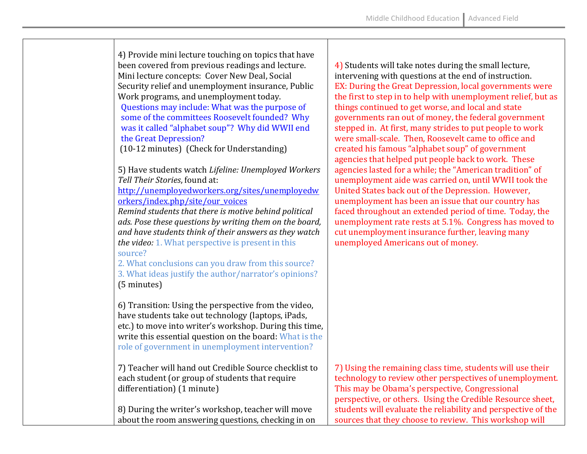4) Provide mini lecture touching on topics that have been covered from previous readings and lecture. Mini lecture concepts: Cover New Deal, Social Security relief and unemployment insurance, Public Work programs, and unemployment today. Questions may include: What was the purpose of some of the committees Roosevelt founded? Why was it called "alphabet soup"? Why did WWII end the Great Depression? (10-12 minutes) (Check for Understanding) 5) Have students watch *Lifeline: Unemployed Workers Tell Their Stories*, found at: http://unemployedworkers.org/sites/unemployedw orkers/index.php/site/our\_voices *Remind students that there is motive behind political ads. Pose these questions by writing them on the board,* and have students think of their answers as they watch *the video:* 1. What perspective is present in this source? 2. What conclusions can you draw from this source? 3. What ideas justify the author/narrator's opinions? (5 minutes) 6) Transition: Using the perspective from the video, have students take out technology (laptops, iPads, etc.) to move into writer's workshop. During this time, write this essential question on the board: What is the role of government in unemployment intervention? 7) Teacher will hand out Credible Source checklist to each student (or group of students that require differentiation) (1 minute) 8) During the writer's workshop, teacher will move

about the room answering questions, checking in on

4) Students will take notes during the small lecture, intervening with questions at the end of instruction. EX: During the Great Depression, local governments were the first to step in to help with unemployment relief, but as things continued to get worse, and local and state governments ran out of money, the federal government stepped in. At first, many strides to put people to work were small-scale. Then, Roosevelt came to office and created his famous "alphabet soup" of government agencies that helped put people back to work. These agencies lasted for a while; the "American tradition" of unemployment aide was carried on, until WWII took the United States back out of the Depression. However, unemployment has been an issue that our country has faced throughout an extended period of time. Today, the unemployment rate rests at  $5.1\%$ . Congress has moved to cut unemployment insurance further, leaving many unemployed Americans out of money.

7) Using the remaining class time, students will use their technology to review other perspectives of unemployment. This may be Obama's perspective, Congressional perspective, or others. Using the Credible Resource sheet, students will evaluate the reliability and perspective of the sources that they choose to review. This workshop will